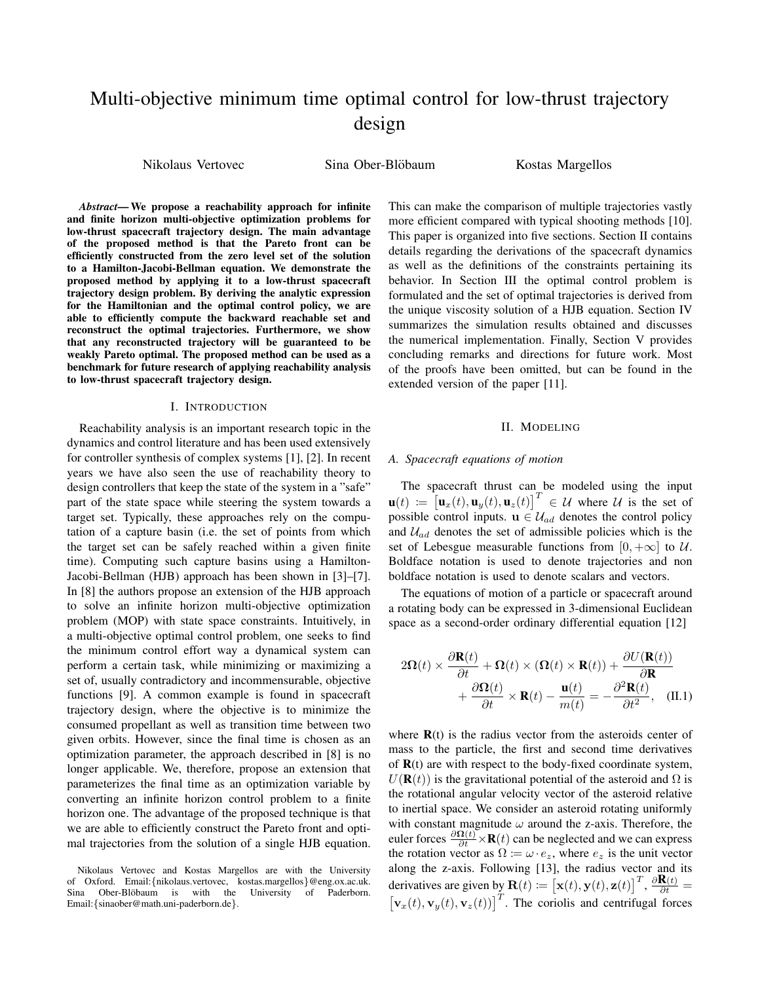# Multi-objective minimum time optimal control for low-thrust trajectory design

Nikolaus Vertovec Sina Ober-Blöbaum Kostas Margellos

*Abstract*— We propose a reachability approach for infinite and finite horizon multi-objective optimization problems for low-thrust spacecraft trajectory design. The main advantage of the proposed method is that the Pareto front can be efficiently constructed from the zero level set of the solution to a Hamilton-Jacobi-Bellman equation. We demonstrate the proposed method by applying it to a low-thrust spacecraft trajectory design problem. By deriving the analytic expression for the Hamiltonian and the optimal control policy, we are able to efficiently compute the backward reachable set and reconstruct the optimal trajectories. Furthermore, we show that any reconstructed trajectory will be guaranteed to be weakly Pareto optimal. The proposed method can be used as a benchmark for future research of applying reachability analysis to low-thrust spacecraft trajectory design.

## I. INTRODUCTION

Reachability analysis is an important research topic in the dynamics and control literature and has been used extensively for controller synthesis of complex systems [1], [2]. In recent years we have also seen the use of reachability theory to design controllers that keep the state of the system in a "safe" part of the state space while steering the system towards a target set. Typically, these approaches rely on the computation of a capture basin (i.e. the set of points from which the target set can be safely reached within a given finite time). Computing such capture basins using a Hamilton-Jacobi-Bellman (HJB) approach has been shown in [3]–[7]. In [8] the authors propose an extension of the HJB approach to solve an infinite horizon multi-objective optimization problem (MOP) with state space constraints. Intuitively, in a multi-objective optimal control problem, one seeks to find the minimum control effort way a dynamical system can perform a certain task, while minimizing or maximizing a set of, usually contradictory and incommensurable, objective functions [9]. A common example is found in spacecraft trajectory design, where the objective is to minimize the consumed propellant as well as transition time between two given orbits. However, since the final time is chosen as an optimization parameter, the approach described in [8] is no longer applicable. We, therefore, propose an extension that parameterizes the final time as an optimization variable by converting an infinite horizon control problem to a finite horizon one. The advantage of the proposed technique is that we are able to efficiently construct the Pareto front and optimal trajectories from the solution of a single HJB equation.

This can make the comparison of multiple trajectories vastly more efficient compared with typical shooting methods [10]. This paper is organized into five sections. Section II contains details regarding the derivations of the spacecraft dynamics as well as the definitions of the constraints pertaining its behavior. In Section III the optimal control problem is formulated and the set of optimal trajectories is derived from the unique viscosity solution of a HJB equation. Section IV summarizes the simulation results obtained and discusses the numerical implementation. Finally, Section V provides concluding remarks and directions for future work. Most of the proofs have been omitted, but can be found in the extended version of the paper [11].

#### II. MODELING

## *A. Spacecraft equations of motion*

The spacecraft thrust can be modeled using the input  $\mathbf{u}(t) := \begin{bmatrix} \mathbf{u}_x(t), \mathbf{u}_y(t), \mathbf{u}_z(t) \end{bmatrix}^T \in \mathcal{U}$  where  $\mathcal{U}$  is the set of possible control inputs.  $\mathbf{u} \in \mathcal{U}_{ad}$  denotes the control policy and  $U_{ad}$  denotes the set of admissible policies which is the set of Lebesgue measurable functions from  $[0, +\infty]$  to U. Boldface notation is used to denote trajectories and non boldface notation is used to denote scalars and vectors.

The equations of motion of a particle or spacecraft around a rotating body can be expressed in 3-dimensional Euclidean space as a second-order ordinary differential equation [12]

$$
2\Omega(t) \times \frac{\partial \mathbf{R}(t)}{\partial t} + \Omega(t) \times (\Omega(t) \times \mathbf{R}(t)) + \frac{\partial U(\mathbf{R}(t))}{\partial \mathbf{R}} + \frac{\partial \Omega(t)}{\partial t} \times \mathbf{R}(t) - \frac{\mathbf{u}(t)}{m(t)} = -\frac{\partial^2 \mathbf{R}(t)}{\partial t^2}, \quad (II.1)
$$

where  $\mathbf{R}(t)$  is the radius vector from the asteroids center of mass to the particle, the first and second time derivatives of  $R(t)$  are with respect to the body-fixed coordinate system,  $U(\mathbf{R}(t))$  is the gravitational potential of the asteroid and  $\Omega$  is the rotational angular velocity vector of the asteroid relative to inertial space. We consider an asteroid rotating uniformly with constant magnitude  $\omega$  around the z-axis. Therefore, the euler forces  $\frac{\partial \Omega(t)}{\partial t} \times \mathbf{R}(t)$  can be neglected and we can express the rotation vector as  $\Omega := \omega \cdot e_z$ , where  $e_z$  is the unit vector along the z-axis. Following [13], the radius vector and its derivatives are given by  $\mathbf{R}(t) := \left[ \mathbf{x}(t), \mathbf{y}(t), \mathbf{z}(t) \right]^T$ ,  $\frac{\partial \mathbf{R}(t)}{\partial t} =$  $[\mathbf{v}_x(t), \mathbf{v}_y(t), \mathbf{v}_z(t)]^T$ . The coriolis and centrifugal forces

Nikolaus Vertovec and Kostas Margellos are with the University of Oxford. Email: {nikolaus.vertovec, kostas.margellos} @eng.ox.ac.uk.<br>Sina Ober-Blöbaum is with the University of Paderborn. Ober-Blöbaum is with the Email:{sinaober@math.uni-paderborn.de}.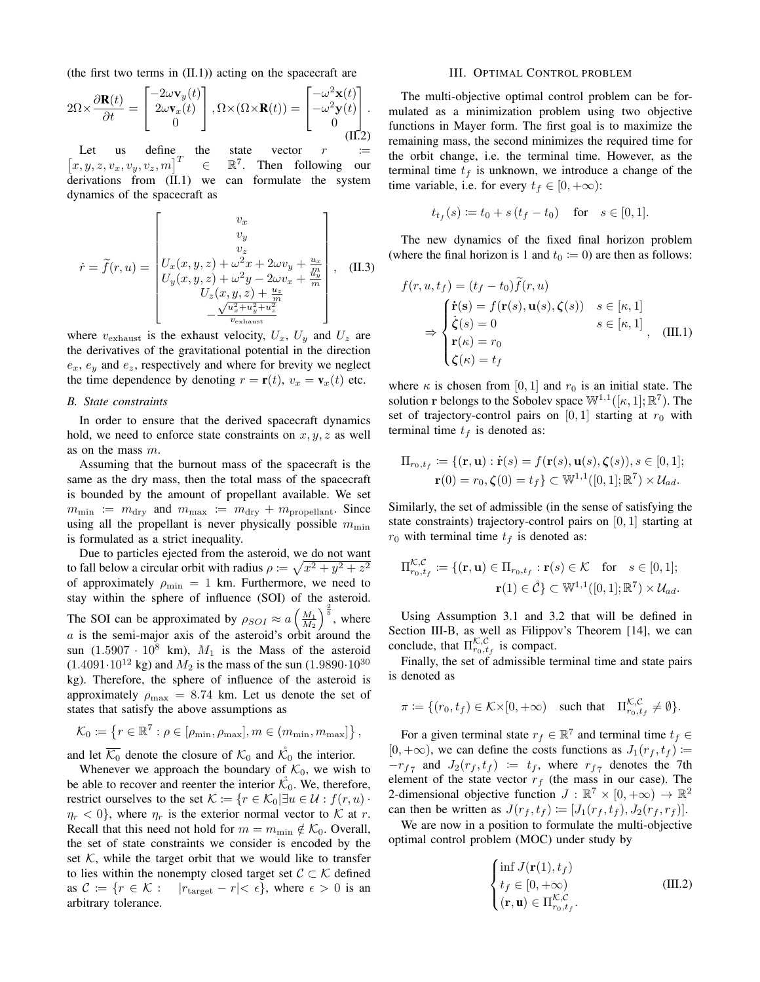(the first two terms in (II.1)) acting on the spacecraft are

$$
2\Omega \times \frac{\partial \mathbf{R}(t)}{\partial t} = \begin{bmatrix} -2\omega \mathbf{v}_y(t) \\ 2\omega \mathbf{v}_x(t) \\ 0 \end{bmatrix}, \Omega \times (\Omega \times \mathbf{R}(t)) = \begin{bmatrix} -\omega^2 \mathbf{x}(t) \\ -\omega^2 \mathbf{y}(t) \\ 0 \\ \text{(II.2)}
$$

Let us define the state vector  $r :=$  $\begin{bmatrix} x, y, z, v_x, v_y, v_z, m \end{bmatrix}^T \in \mathbb{R}$ 7 . Then following our derivations from (II.1) we can formulate the system dynamics of the spacecraft as

$$
\dot{r} = \tilde{f}(r, u) = \begin{bmatrix} v_x \\ v_y \\ v_z \\ U_x(x, y, z) + \omega^2 x + 2\omega v_y + \frac{u_x}{m} \\ U_y(x, y, z) + \omega^2 y - 2\omega v_x + \frac{w_y}{m} \\ U_z(x, y, z) + \frac{u_z}{m} \\ -\frac{\sqrt{u_x^2 + u_y^2 + u_z^2}}{v_{\text{exhaust}}}\end{bmatrix}, \quad \text{(II.3)}
$$

where  $v_{\text{exhaust}}$  is the exhaust velocity,  $U_x$ ,  $U_y$  and  $U_z$  are the derivatives of the gravitational potential in the direction  $e_x$ ,  $e_y$  and  $e_z$ , respectively and where for brevity we neglect the time dependence by denoting  $r = \mathbf{r}(t)$ ,  $v_x = \mathbf{v}_x(t)$  etc.

## *B. State constraints*

In order to ensure that the derived spacecraft dynamics hold, we need to enforce state constraints on  $x, y, z$  as well as on the mass m.

Assuming that the burnout mass of the spacecraft is the same as the dry mass, then the total mass of the spacecraft is bounded by the amount of propellant available. We set  $m_{\text{min}} := m_{\text{dry}}$  and  $m_{\text{max}} := m_{\text{dry}} + m_{\text{propellant}}$ . Since using all the propellant is never physically possible  $m_{\min}$ is formulated as a strict inequality.

Due to particles ejected from the asteroid, we do not want to fall below a circular orbit with radius  $\rho \coloneqq \sqrt{x^2 + y^2 + z^2}$ of approximately  $\rho_{\min} = 1$  km. Furthermore, we need to stay within the sphere of influence (SOI) of the asteroid. The SOI can be approximated by  $\rho_{SOI} \approx a \left(\frac{M_1}{M_2}\right)^{\frac{2}{5}}$ , where  $a$  is the semi-major axis of the asteroid's orbit around the sun  $(1.5907 \cdot 10^8 \text{ km})$ ,  $M_1$  is the Mass of the asteroid  $(1.4091 \cdot 10^{12} \text{ kg})$  and  $M_2$  is the mass of the sun  $(1.9890 \cdot 10^{30} \text{ m})$ kg). Therefore, the sphere of influence of the asteroid is approximately  $\rho_{\text{max}} = 8.74$  km. Let us denote the set of states that satisfy the above assumptions as

$$
\mathcal{K}_0 := \left\{ r \in \mathbb{R}^7 : \rho \in [\rho_{\min}, \rho_{\max}], m \in (m_{\min}, m_{\max}] \right\},\
$$

and let  $\overline{\mathcal{K}_0}$  denote the closure of  $\mathcal{K}_0$  and  $\mathcal{K}_0$  the interior.

Whenever we approach the boundary of  $\mathcal{K}_0$ , we wish to be able to recover and reenter the interior  $\mathcal{K}_0$ . We, therefore, restrict ourselves to the set  $\mathcal{K} := \{r \in \mathcal{K}_0 | \exists u \in \mathcal{U} : f(r, u) \}$  $\eta_r < 0$ , where  $\eta_r$  is the exterior normal vector to K at r. Recall that this need not hold for  $m = m_{\text{min}} \notin \mathcal{K}_0$ . Overall, the set of state constraints we consider is encoded by the set  $K$ , while the target orbit that we would like to transfer to lies within the nonempty closed target set  $C \subset \mathcal{K}$  defined as  $C := \{r \in \mathcal{K} : |r_{\text{target}} - r| < \epsilon\}$ , where  $\epsilon > 0$  is an arbitrary tolerance.

### III. OPTIMAL CONTROL PROBLEM

The multi-objective optimal control problem can be formulated as a minimization problem using two objective functions in Mayer form. The first goal is to maximize the remaining mass, the second minimizes the required time for the orbit change, i.e. the terminal time. However, as the terminal time  $t_f$  is unknown, we introduce a change of the time variable, i.e. for every  $t_f \in [0, +\infty)$ :

$$
t_{t_f}(s) \coloneqq t_0 + s(t_f - t_0) \quad \text{for} \quad s \in [0, 1].
$$

The new dynamics of the fixed final horizon problem (where the final horizon is 1 and  $t_0 := 0$ ) are then as follows:

$$
f(r, u, t_f) = (t_f - t_0)\hat{f}(r, u)
$$
  
\n
$$
\Rightarrow \begin{cases} \dot{\mathbf{r}}(\mathbf{s}) = f(\mathbf{r}(s), \mathbf{u}(s), \zeta(s)) & s \in [\kappa, 1] \\ \dot{\zeta}(s) = 0 & s \in [\kappa, 1] \\ \mathbf{r}(\kappa) = r_0 \\ \zeta(\kappa) = t_f \end{cases}
$$
 (III.1)

where  $\kappa$  is chosen from [0, 1] and  $r_0$  is an initial state. The solution r belongs to the Sobolev space  $\mathbb{W}^{1,1}([\kappa,1];\mathbb{R}^7)$ . The set of trajectory-control pairs on  $[0, 1]$  starting at  $r_0$  with terminal time  $t_f$  is denoted as:

$$
\Pi_{r_0,t_f} \coloneqq \{(\mathbf{r}, \mathbf{u}) : \dot{\mathbf{r}}(s) = f(\mathbf{r}(s), \mathbf{u}(s), \boldsymbol{\zeta}(s)), s \in [0, 1];
$$
  

$$
\mathbf{r}(0) = r_0, \boldsymbol{\zeta}(0) = t_f\} \subset \mathbb{W}^{1,1}([0, 1]; \mathbb{R}^7) \times \mathcal{U}_{ad}.
$$

Similarly, the set of admissible (in the sense of satisfying the state constraints) trajectory-control pairs on  $[0, 1]$  starting at  $r_0$  with terminal time  $t_f$  is denoted as:

$$
\Pi_{r_0,t_f}^{\mathcal{K},\mathcal{C}} := \{ (\mathbf{r}, \mathbf{u}) \in \Pi_{r_0,t_f} : \mathbf{r}(s) \in \mathcal{K} \quad \text{for} \quad s \in [0,1]; \n\mathbf{r}(1) \in \mathcal{C} \} \subset \mathbb{W}^{1,1}([0,1];\mathbb{R}^7) \times \mathcal{U}_{ad}.
$$

Using Assumption 3.1 and 3.2 that will be defined in Section III-B, as well as Filippov's Theorem [14], we can conclude, that  $\Pi_{r_0,t_f}^{\mathcal{K},\mathcal{C}}$  is compact.

Finally, the set of admissible terminal time and state pairs is denoted as

$$
\pi := \{ (r_0, t_f) \in \mathcal{K} \times [0, +\infty) \quad \text{such that} \quad \Pi_{r_0, t_f}^{\mathcal{K}, \mathcal{C}} \neq \emptyset \}.
$$

For a given terminal state  $r_f \in \mathbb{R}^7$  and terminal time  $t_f \in$  $[0, +\infty)$ , we can define the costs functions as  $J_1(r_f, t_f) :=$  $-r_{f7}$  and  $J_2(r_f, t_f) := t_f$ , where  $r_{f7}$  denotes the 7th element of the state vector  $r_f$  (the mass in our case). The 2-dimensional objective function  $J : \mathbb{R}^7 \times [0, +\infty) \to \mathbb{R}^2$ can then be written as  $J(r_f, t_f) := [J_1(r_f, t_f), J_2(r_f, r_f)].$ 

We are now in a position to formulate the multi-objective optimal control problem (MOC) under study by

$$
\begin{cases}\n\inf J(\mathbf{r}(1), t_f) \\
t_f \in [0, +\infty) \\
(\mathbf{r}, \mathbf{u}) \in \Pi_{r_0, t_f}^{\mathcal{K}, \mathcal{C}}.\n\end{cases} \tag{III.2}
$$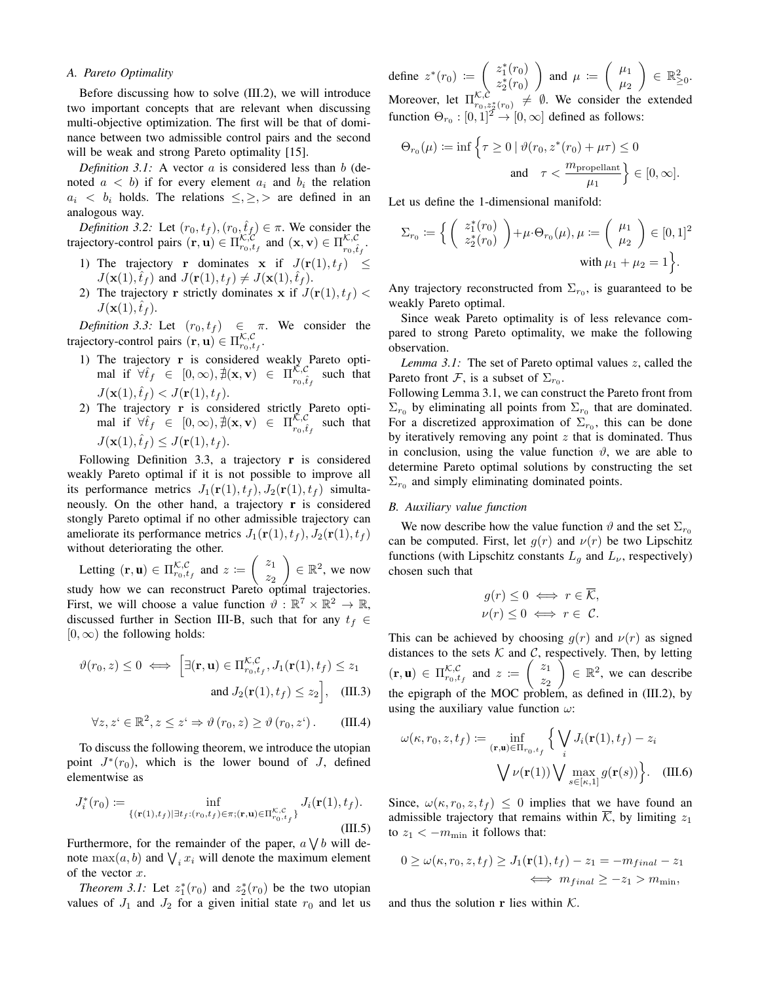# *A. Pareto Optimality*

Before discussing how to solve (III.2), we will introduce two important concepts that are relevant when discussing multi-objective optimization. The first will be that of dominance between two admissible control pairs and the second will be weak and strong Pareto optimality [15].

*Definition 3.1:* A vector a is considered less than b (denoted  $a < b$ ) if for every element  $a_i$  and  $b_i$  the relation  $a_i < b_i$  holds. The relations  $\leq, \geq, >$  are defined in an analogous way.

*Definition 3.2:* Let  $(r_0, t_f)$ ,  $(r_0, \hat{t}_f) \in \pi$ . We consider the trajectory-control pairs  $(\mathbf{r}, \mathbf{u}) \in \Pi_{r_0, t_f}^{\mathcal{K}, \mathcal{C}}$  and  $(\mathbf{x}, \mathbf{v}) \in \Pi_{r_0, \hat{t}_f}^{\mathcal{K}, \mathcal{C}}$ .

- 1) The trajectory r dominates x if  $J(\mathbf{r}(1), t_f) \leq$  $J(\mathbf{x}(1),\hat{t}_f)$  and  $J(\mathbf{r}(1),t_f) \neq J(\mathbf{x}(1),\hat{t}_f)$ .
- 2) The trajectory **r** strictly dominates **x** if  $J(\mathbf{r}(1), t_f)$  <  $J(\mathbf{x}(1),\hat{t}_f)$ .

*Definition 3.3:* Let  $(r_0, t_f) \in \pi$ . We consider the trajectory-control pairs  $(\mathbf{r}, \mathbf{u}) \in \Pi_{r_0, t_f}^{\mathcal{K}, \mathcal{C}}$ .

- 1) The trajectory r is considered weakly Pareto optimal if  $\forall \hat{t}_f \in [0, \infty), \nexists (\mathbf{x}, \mathbf{v}) \in \Pi_{r_0, \hat{t}_f}^{\mathcal{K}, \mathcal{C}}$  such that  $J(\mathbf{x}(1), \hat{t}_f) < J(\mathbf{r}(1), t_f).$
- 2) The trajectory r is considered strictly Pareto optimal if  $\forall \hat{t}_f \in [0, \infty), \nexists (\mathbf{x}, \mathbf{v}) \in \Pi_{r_0, \hat{t}_f}^{\mathcal{K}, \mathcal{C}}$  such that  $J(\mathbf{x}(1),\hat{t}_f) \leq J(\mathbf{r}(1),t_f).$

Following Definition 3.3, a trajectory  $\bf{r}$  is considered weakly Pareto optimal if it is not possible to improve all its performance metrics  $J_1(\mathbf{r}(1), t_f)$ ,  $J_2(\mathbf{r}(1), t_f)$  simultaneously. On the other hand, a trajectory r is considered stongly Pareto optimal if no other admissible trajectory can ameliorate its performance metrics  $J_1(\mathbf{r}(1), t_f)$ ,  $J_2(\mathbf{r}(1), t_f)$ without deteriorating the other.

Letting  $(\mathbf{r}, \mathbf{u}) \in \Pi_{r_0, t_f}^{\mathcal{K}, \mathcal{C}}$  and  $z := \begin{pmatrix} z_1 \\ z_2 \end{pmatrix}$  $z_2$  $\Big) \in \mathbb{R}^2$ , we now study how we can reconstruct Pareto optimal trajectories. First, we will choose a value function  $\vartheta : \mathbb{R}^7 \times \mathbb{R}^2 \to \mathbb{R}$ , discussed further in Section III-B, such that for any  $t_f \in$  $[0, \infty)$  the following holds:

$$
\vartheta(r_0, z) \le 0 \iff \left[ \exists (\mathbf{r}, \mathbf{u}) \in \Pi_{r_0, t_f}^{\mathcal{K}, \mathcal{C}}, J_1(\mathbf{r}(1), t_f) \le z_1 \right]
$$
\n
$$
\text{and } J_2(\mathbf{r}(1), t_f) \le z_2 \Big], \quad \text{(III.3)}
$$

$$
\forall z, z^{\prime} \in \mathbb{R}^{2}, z \leq z^{\prime} \Rightarrow \vartheta(r_{0}, z) \geq \vartheta(r_{0}, z^{\prime}). \qquad (III.4)
$$

To discuss the following theorem, we introduce the utopian point  $J^*(r_0)$ , which is the lower bound of J, defined elementwise as

$$
J_i^*(r_0) := \inf_{\{(\mathbf{r}(1), t_f) | \exists t_f : (r_0, t_f) \in \pi; (\mathbf{r}, \mathbf{u}) \in \Pi_{r_0, t_f}^{\mathcal{K}, \mathcal{C}}} J_i(\mathbf{r}(1), t_f).
$$
(III.5)

Furthermore, for the remainder of the paper,  $a \bigvee b$  will denote  $\max(a, b)$  and  $\bigvee_i x_i$  will denote the maximum element of the vector  $x$ .

*Theorem 3.1:* Let  $z_1^*(r_0)$  and  $z_2^*(r_0)$  be the two utopian values of  $J_1$  and  $J_2$  for a given initial state  $r_0$  and let us define  $z^*(r_0) := \begin{pmatrix} z_1^*(r_0) \\ z^*(r_0) \end{pmatrix}$  $z_2^*(r_0)$ ) and  $\mu := \begin{pmatrix} \mu_1 \\ \mu_2 \end{pmatrix}$  $\mu_2$  $\Big) \in \mathbb{R}_{\geq 0}^2$ . Moreover, let  $\Pi_{r_0,z_2^*(r_0)}^{\mathcal{K},\mathcal{C}} \neq \emptyset$ . We consider the extended function  $\Theta_{r_0} : [0,1]^{\mathcal{I}} \to [0,\infty]$  defined as follows:

$$
\Theta_{r_0}(\mu) \coloneqq \inf \left\{ \tau \ge 0 \mid \vartheta(r_0, z^*(r_0) + \mu \tau) \le 0
$$
  
and 
$$
\tau < \frac{m_{\text{propellant}}}{\mu_1} \right\} \in [0, \infty].
$$

Let us define the 1-dimensional manifold:

$$
\Sigma_{r_0} := \left\{ \begin{pmatrix} z_1^*(r_0) \\ z_2^*(r_0) \end{pmatrix} + \mu \cdot \Theta_{r_0}(\mu), \mu := \begin{pmatrix} \mu_1 \\ \mu_2 \end{pmatrix} \in [0, 1]^2 \right\}
$$
  
with  $\mu_1 + \mu_2 = 1$ .

Any trajectory reconstructed from  $\Sigma_{r_0}$ , is guaranteed to be weakly Pareto optimal.

Since weak Pareto optimality is of less relevance compared to strong Pareto optimality, we make the following observation.

*Lemma 3.1:* The set of Pareto optimal values z, called the Pareto front F, is a subset of  $\Sigma_{r_0}$ .

Following Lemma 3.1, we can construct the Pareto front from  $\Sigma_{r_0}$  by eliminating all points from  $\Sigma_{r_0}$  that are dominated. For a discretized approximation of  $\Sigma_{r_0}$ , this can be done by iteratively removing any point  $z$  that is dominated. Thus in conclusion, using the value function  $\vartheta$ , we are able to determine Pareto optimal solutions by constructing the set  $\Sigma_{r_0}$  and simply eliminating dominated points.

#### *B. Auxiliary value function*

We now describe how the value function  $\vartheta$  and the set  $\Sigma_{r_0}$ can be computed. First, let  $g(r)$  and  $v(r)$  be two Lipschitz functions (with Lipschitz constants  $L_q$  and  $L_\nu$ , respectively) chosen such that

$$
g(r) \leq 0 \iff r \in \overline{\mathcal{K}},
$$
  

$$
\nu(r) \leq 0 \iff r \in \mathcal{C}.
$$

This can be achieved by choosing  $q(r)$  and  $\nu(r)$  as signed distances to the sets  $K$  and  $C$ , respectively. Then, by letting  $(\mathbf{r}, \mathbf{u}) \in \Pi_{r_0, t_f}^{\mathcal{K}, \mathcal{C}}$  and  $z := \begin{pmatrix} z_1 \\ z_2 \end{pmatrix}$  $z_2$  $\Big\} \in \mathbb{R}^2$ , we can describe the epigraph of the MOC problem, as defined in (III.2), by using the auxiliary value function  $\omega$ :

$$
\omega(\kappa, r_0, z, t_f) := \inf_{(\mathbf{r}, \mathbf{u}) \in \Pi_{r_0, t_f}} \left\{ \bigvee_i J_i(\mathbf{r}(1), t_f) - z_i \right\}
$$

$$
\bigvee \nu(\mathbf{r}(1)) \bigvee \max_{s \in [\kappa, 1]} g(\mathbf{r}(s)) \right\}. \quad (\text{III.6})
$$

Since,  $\omega(\kappa, r_0, z, t_f) \leq 0$  implies that we have found an admissible trajectory that remains within  $\overline{\mathcal{K}}$ , by limiting  $z_1$ to  $z_1 < -m_{\min}$  it follows that:

$$
0 \ge \omega(\kappa, r_0, z, t_f) \ge J_1(\mathbf{r}(1), t_f) - z_1 = -m_{final} - z_1
$$
  

$$
\iff m_{final} \ge -z_1 > m_{\min},
$$

and thus the solution r lies within  $K$ .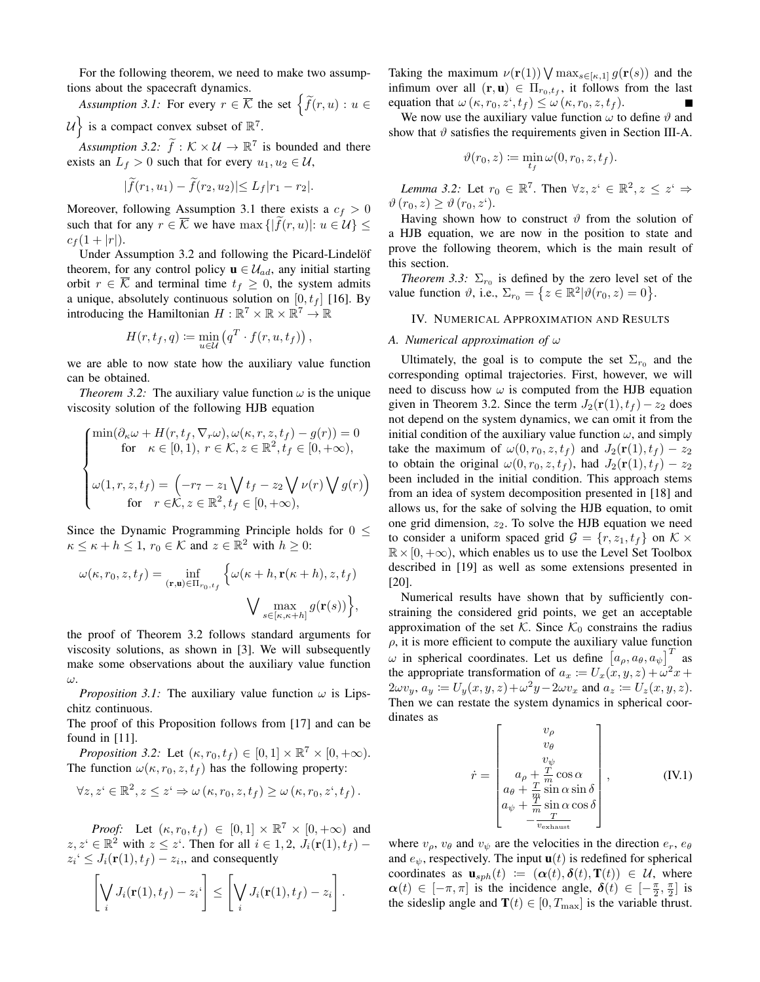For the following theorem, we need to make two assumptions about the spacecraft dynamics.

*Assumption 3.1:* For every  $r \in \overline{K}$  the set  $\left\{ \widetilde{f}(r, u) : u \in$  $\mathcal{U}$  is a compact convex subset of  $\mathbb{R}^7$ .

Assumption 3.2:  $\tilde{f}: K \times U \to \mathbb{R}^7$  is bounded and there exists an  $L_f > 0$  such that for every  $u_1, u_2 \in \mathcal{U}$ ,

$$
|\tilde{f}(r_1, u_1) - \tilde{f}(r_2, u_2)| \le L_f |r_1 - r_2|.
$$

Moreover, following Assumption 3.1 there exists a  $c_f > 0$ such that for any  $r \in \overline{\mathcal{K}}$  we have  $\max\{|\widetilde{f}(r, u)|: u \in \mathcal{U}\}\leq$  $c_f (1 + |r|).$ 

Under Assumption 3.2 and following the Picard-Lindelöf theorem, for any control policy  $\mathbf{u} \in \mathcal{U}_{ad}$ , any initial starting orbit  $r \in \mathcal{K}$  and terminal time  $t_f \geq 0$ , the system admits a unique, absolutely continuous solution on  $[0, t_f]$  [16]. By introducing the Hamiltonian  $H : \mathbb{R}^7 \times \mathbb{R} \times \mathbb{R}^7 \to \mathbb{R}$ 

$$
H(r, t_f, q) \coloneqq \min_{u \in \mathcal{U}} \left( q^T \cdot f(r, u, t_f) \right),
$$

we are able to now state how the auxiliary value function can be obtained.

*Theorem 3.2:* The auxiliary value function  $\omega$  is the unique viscosity solution of the following HJB equation

$$
\begin{cases}\n\min(\partial_{\kappa}\omega + H(r, t_f, \nabla_r \omega), \omega(\kappa, r, z, t_f) - g(r)) = 0 \\
\text{for } \kappa \in [0, 1), r \in \mathcal{K}, z \in \mathbb{R}^2, t_f \in [0, +\infty), \\
\omega(1, r, z, t_f) = \left(-r_7 - z_1 \bigvee t_f - z_2 \bigvee \nu(r) \bigvee g(r)\right) \\
\text{for } r \in \mathcal{K}, z \in \mathbb{R}^2, t_f \in [0, +\infty),\n\end{cases}
$$

Since the Dynamic Programming Principle holds for  $0 \leq$  $\kappa \leq \kappa + h \leq 1$ ,  $r_0 \in \mathcal{K}$  and  $z \in \mathbb{R}^2$  with  $h \geq 0$ :

$$
\omega(\kappa, r_0, z, t_f) = \inf_{(\mathbf{r}, \mathbf{u}) \in \Pi_{r_0, t_f}} \left\{ \omega(\kappa + h, \mathbf{r}(\kappa + h), z, t_f) \right\}
$$

$$
\bigvee \max_{s \in [\kappa, \kappa + h]} g(\mathbf{r}(s)) \right\},
$$

the proof of Theorem 3.2 follows standard arguments for viscosity solutions, as shown in [3]. We will subsequently make some observations about the auxiliary value function ω.

*Proposition 3.1:* The auxiliary value function  $\omega$  is Lipschitz continuous.

The proof of this Proposition follows from [17] and can be found in [11].

*Proposition 3.2:* Let  $(\kappa, r_0, t_f) \in [0, 1] \times \mathbb{R}^7 \times [0, +\infty)$ . The function  $\omega(\kappa, r_0, z, t_f)$  has the following property:

$$
\forall z, z^{\iota} \in \mathbb{R}^2, z \leq z^{\iota} \Rightarrow \omega (\kappa, r_0, z, t_f) \geq \omega (\kappa, r_0, z^{\iota}, t_f).
$$

*Proof:* Let  $(\kappa, r_0, t_f) \in [0, 1] \times \mathbb{R}^7 \times [0, +\infty)$  and  $z, z^i \in \mathbb{R}^2$  with  $z \leq z^i$ . Then for all  $i \in 1, 2$ ,  $J_i(\mathbf{r}(1), t_f)$  –  $z_i \leq J_i(\mathbf{r}(1), t_f) - z_i$ , and consequently

$$
\left[\bigvee_i J_i(\mathbf{r}(1), t_f) - z_i\right] \leq \left[\bigvee_i J_i(\mathbf{r}(1), t_f) - z_i\right].
$$

Taking the maximum  $\nu(\mathbf{r}(1)) \bigvee \max_{s \in [\kappa,1]} g(\mathbf{r}(s))$  and the infimum over all  $(\mathbf{r}, \mathbf{u}) \in \Pi_{r_0, t_f}$ , it follows from the last equation that  $\omega(\kappa, r_0, z^t, t_f) \leq \omega(\kappa, r_0, z, t_f)$ .

We now use the auxiliary value function  $\omega$  to define  $\vartheta$  and show that  $\vartheta$  satisfies the requirements given in Section III-A.

$$
\vartheta(r_0, z) \coloneqq \min_{t_f} \omega(0, r_0, z, t_f).
$$

*Lemma 3.2:* Let  $r_0 \in \mathbb{R}^7$ . Then  $\forall z, z^i \in \mathbb{R}^2, z \leq z^i \Rightarrow$  $\vartheta(r_0, z) \geq \vartheta(r_0, z^{\mathfrak{c}}).$ 

Having shown how to construct  $\vartheta$  from the solution of a HJB equation, we are now in the position to state and prove the following theorem, which is the main result of this section.

*Theorem 3.3:*  $\Sigma_{r_0}$  is defined by the zero level set of the value function  $\vartheta$ , i.e.,  $\Sigma_{r_0} = \{z \in \mathbb{R}^2 | \vartheta(r_0, z) = 0\}.$ 

## IV. NUMERICAL APPROXIMATION AND RESULTS

# *A. Numerical approximation of* ω

Ultimately, the goal is to compute the set  $\Sigma_{r_0}$  and the corresponding optimal trajectories. First, however, we will need to discuss how  $\omega$  is computed from the HJB equation given in Theorem 3.2. Since the term  $J_2(\mathbf{r}(1), t_f) - z_2$  does not depend on the system dynamics, we can omit it from the initial condition of the auxiliary value function  $\omega$ , and simply take the maximum of  $\omega(0, r_0, z, t_f)$  and  $J_2(\mathbf{r}(1), t_f) - z_2$ to obtain the original  $\omega(0, r_0, z, t_f)$ , had  $J_2(\mathbf{r}(1), t_f) - z_2$ been included in the initial condition. This approach stems from an idea of system decomposition presented in [18] and allows us, for the sake of solving the HJB equation, to omit one grid dimension,  $z_2$ . To solve the HJB equation we need to consider a uniform spaced grid  $\mathcal{G} = \{r, z_1, t_f\}$  on  $\mathcal{K} \times$  $\mathbb{R} \times [0, +\infty)$ , which enables us to use the Level Set Toolbox described in [19] as well as some extensions presented in [20].

Numerical results have shown that by sufficiently constraining the considered grid points, we get an acceptable approximation of the set K. Since  $K_0$  constrains the radius  $\rho$ , it is more efficient to compute the auxiliary value function  $\omega$  in spherical coordinates. Let us define  $[a_{\rho}, a_{\theta}, a_{\psi}]^T$  as the appropriate transformation of  $a_x := U_x(x, y, z) + \omega^2 x +$  $2\omega v_y$ ,  $a_y := U_y(x, y, z) + \omega^2 y - 2\omega v_x$  and  $a_z := U_z(x, y, z)$ . Then we can restate the system dynamics in spherical coordinates as

$$
\dot{r} = \begin{bmatrix} v_{\rho} \\ v_{\theta} \\ v_{\psi} \\ a_{\rho} + \frac{T}{m} \cos \alpha \\ a_{\phi} + \frac{T}{m} \sin \alpha \sin \delta \\ a_{\psi} + \frac{m}{m} \sin \alpha \cos \delta \\ -\frac{T}{v_{\text{exhaust}}}\end{bmatrix}, \quad (\text{IV.1})
$$

where  $v_{\rho}$ ,  $v_{\theta}$  and  $v_{\psi}$  are the velocities in the direction  $e_r$ ,  $e_{\theta}$ and  $e_{\psi}$ , respectively. The input  $\mathbf{u}(t)$  is redefined for spherical coordinates as  $\mathbf{u}_{sph}(t) := (\alpha(t), \delta(t), \mathbf{T}(t)) \in \mathcal{U}$ , where  $\alpha(t) \in [-\pi, \pi]$  is the incidence angle,  $\delta(t) \in [-\frac{\pi}{2}, \frac{\pi}{2}]$  is the sideslip angle and  $\mathbf{T}(t) \in [0, T_{\text{max}}]$  is the variable thrust.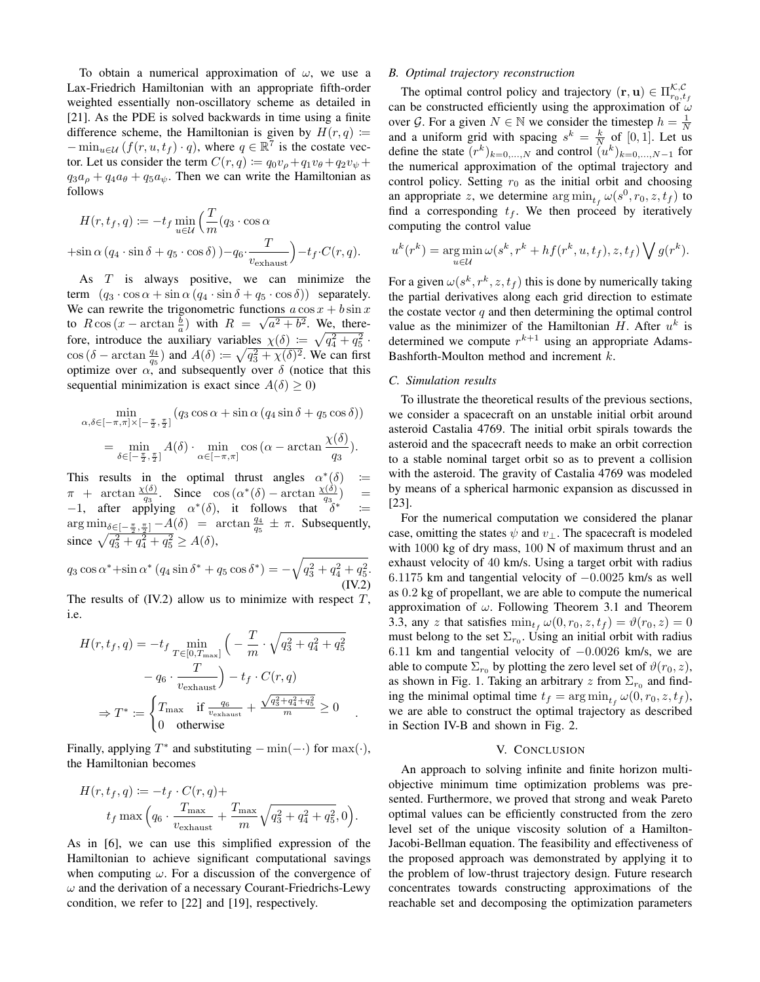To obtain a numerical approximation of  $\omega$ , we use a Lax-Friedrich Hamiltonian with an appropriate fifth-order weighted essentially non-oscillatory scheme as detailed in [21]. As the PDE is solved backwards in time using a finite difference scheme, the Hamiltonian is given by  $H(r, q) :=$  $-\min_{u \in \mathcal{U}} (f(r, u, t_f) \cdot q)$ , where  $q \in \mathbb{R}^7$  is the costate vector. Let us consider the term  $C(r, q) := q_0v_{\rho} + q_1v_{\theta} + q_2v_{\psi} +$  $q_3a_{\rho} + q_4a_{\theta} + q_5a_{\psi}$ . Then we can write the Hamiltonian as follows

$$
H(r, t_f, q) := -t_f \min_{u \in \mathcal{U}} \left( \frac{T}{m} (q_3 \cdot \cos \alpha + \sin \alpha (q_4 \cdot \sin \delta + q_5 \cdot \cos \delta)) - q_6 \cdot \frac{T}{v_{\text{exhaust}}} \right) - t_f \cdot C(r, q).
$$

As T is always positive, we can minimize the term  $(q_3 \cdot \cos \alpha + \sin \alpha (q_4 \cdot \sin \delta + q_5 \cdot \cos \delta))$  separately. We can rewrite the trigonometric functions  $a \cos x + b \sin x$ to  $R \cos(x - \arctan \frac{b}{a})$  with  $R = \sqrt{a^2 + b^2}$ . We, therefore, introduce the auxiliary variables  $\chi(\delta) := \sqrt{q_4^2 + q_5^2}$ .  $\cos (\delta - \arctan \frac{q_4}{q_5})$  and  $A(\delta) \coloneqq \sqrt{q_3^2 + \chi(\delta)^2}$ . We can first optimize over  $\alpha$ , and subsequently over  $\delta$  (notice that this sequential minimization is exact since  $A(\delta) \geq 0$ )

$$
\min_{\alpha,\delta\in[-\pi,\pi]\times[-\frac{\pi}{2},\frac{\pi}{2}]}(q_3\cos\alpha+\sin\alpha(q_4\sin\delta+q_5\cos\delta))
$$

$$
=\min_{\delta\in[-\frac{\pi}{2},\frac{\pi}{2}]}A(\delta)\cdot\min_{\alpha\in[-\pi,\pi]}\cos(\alpha-\arctan\frac{\chi(\delta)}{q_3}).
$$

This results in the optimal thrust angles  $\alpha^*(\delta)$  :=  $\pi$  + arctan  $\frac{\chi(\delta)}{a_0}$ . Since  $\cos(\alpha^*(\delta))$  – arctan  $\frac{\chi(\delta)}{a_0}$  $\begin{bmatrix} a_1 & a_2 & a_3 \\ -1 & a_3 & a_4 \end{bmatrix}$ , it follows that  $\delta^*$  $\equiv$ :=  $\arg \min_{\delta \in [-\frac{\pi}{2}, \frac{\pi}{2}]} - A(\delta) = \arctan \frac{q_4}{q_5} \pm \pi$ . Subsequently, since  $\sqrt{q_3^2 + q_4^2 + q_5^2} \ge A(\delta)$ ,

$$
q_3 \cos \alpha^* + \sin \alpha^* (q_4 \sin \delta^* + q_5 \cos \delta^*) = -\sqrt{q_3^2 + q_4^2 + q_5^2}.
$$
\n(IV.2)

The results of  $(IV.2)$  allow us to minimize with respect  $T$ , i.e.

$$
H(r, t_f, q) = -t_f \min_{T \in [0, T_{\text{max}}]} \left( -\frac{T}{m} \cdot \sqrt{q_3^2 + q_4^2 + q_5^2} - q_6 \cdot \frac{T}{v_{\text{exhaust}}} \right) - t_f \cdot C(r, q)
$$
  

$$
\Rightarrow T^* := \begin{cases} T_{\text{max}} & \text{if } \frac{q_6}{v_{\text{exhaust}}} + \frac{\sqrt{q_3^2 + q_4^2 + q_5^2}}{m} \ge 0\\ 0 & \text{otherwise} \end{cases}
$$

.

Finally, applying  $T^*$  and substituting  $-\min(-\cdot)$  for  $\max(\cdot)$ , the Hamiltonian becomes

$$
H(r, t_f, q) := -t_f \cdot C(r, q) +
$$
  

$$
t_f \max \left( q_6 \cdot \frac{T_{\text{max}}}{v_{\text{exhaust}}} + \frac{T_{\text{max}}}{m} \sqrt{q_3^2 + q_4^2 + q_5^2}, 0 \right).
$$

As in [6], we can use this simplified expression of the Hamiltonian to achieve significant computational savings when computing  $\omega$ . For a discussion of the convergence of  $\omega$  and the derivation of a necessary Courant-Friedrichs-Lewy condition, we refer to [22] and [19], respectively.

## *B. Optimal trajectory reconstruction*

The optimal control policy and trajectory  $(\mathbf{r}, \mathbf{u}) \in \Pi_{r_0, t_f}^{\mathcal{K}, \mathcal{C}}$ can be constructed efficiently using the approximation of  $\omega$ over G. For a given  $N \in \mathbb{N}$  we consider the timestep  $h = \frac{1}{N}$ and a uniform grid with spacing  $s^k = \frac{k}{N}$  of [0, 1]. Let us define the state  $(r^k)_{k=0,...,N}$  and control  $(u^k)_{k=0,...,N-1}$  for the numerical approximation of the optimal trajectory and control policy. Setting  $r_0$  as the initial orbit and choosing an appropriate z, we determine  $\arg\min_{t_f} \omega(s^0, r_0, z, t_f)$  to find a corresponding  $t_f$ . We then proceed by iteratively computing the control value

$$
u^{k}(r^{k}) = \underset{u \in \mathcal{U}}{\arg \min} \, \omega(s^{k}, r^{k} + h f(r^{k}, u, t_{f}), z, t_{f}) \bigvee g(r^{k}).
$$

For a given  $\omega(s^k, r^k, z, t_f)$  this is done by numerically taking the partial derivatives along each grid direction to estimate the costate vector  $q$  and then determining the optimal control value as the minimizer of the Hamiltonian H. After  $u^k$  is determined we compute  $r^{k+1}$  using an appropriate Adams-Bashforth-Moulton method and increment k.

## *C. Simulation results*

To illustrate the theoretical results of the previous sections, we consider a spacecraft on an unstable initial orbit around asteroid Castalia 4769. The initial orbit spirals towards the asteroid and the spacecraft needs to make an orbit correction to a stable nominal target orbit so as to prevent a collision with the asteroid. The gravity of Castalia 4769 was modeled by means of a spherical harmonic expansion as discussed in [23].

For the numerical computation we considered the planar case, omitting the states  $\psi$  and  $v_{\perp}$ . The spacecraft is modeled with 1000 kg of dry mass, 100 N of maximum thrust and an exhaust velocity of 40 km/s. Using a target orbit with radius 6.1175 km and tangential velocity of −0.0025 km/s as well as 0.2 kg of propellant, we are able to compute the numerical approximation of  $\omega$ . Following Theorem 3.1 and Theorem 3.3, any z that satisfies  $\min_{t_f} \omega(0, r_0, z, t_f) = \vartheta(r_0, z) = 0$ must belong to the set  $\Sigma_{r_0}$ . Using an initial orbit with radius 6.11 km and tangential velocity of −0.0026 km/s, we are able to compute  $\Sigma_{r_0}$  by plotting the zero level set of  $\vartheta(r_0, z)$ , as shown in Fig. 1. Taking an arbitrary  $z$  from  $\Sigma_{r_0}$  and finding the minimal optimal time  $t_f = \arg \min_{t_f} \omega(0, r_0, z, t_f)$ , we are able to construct the optimal trajectory as described in Section IV-B and shown in Fig. 2.

## V. CONCLUSION

An approach to solving infinite and finite horizon multiobjective minimum time optimization problems was presented. Furthermore, we proved that strong and weak Pareto optimal values can be efficiently constructed from the zero level set of the unique viscosity solution of a Hamilton-Jacobi-Bellman equation. The feasibility and effectiveness of the proposed approach was demonstrated by applying it to the problem of low-thrust trajectory design. Future research concentrates towards constructing approximations of the reachable set and decomposing the optimization parameters